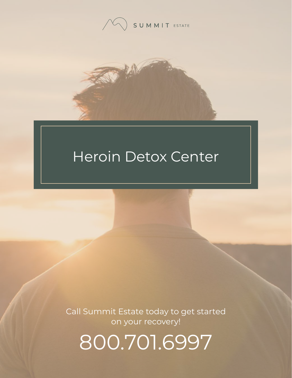



# Heroin Detox Center

Call Summit Estate today to get started on your recovery!

800.701.6997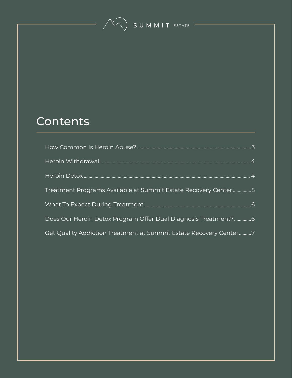SUMMIT ESTATE

### **Contents**

| Treatment Programs Available at Summit Estate Recovery Center5    |  |
|-------------------------------------------------------------------|--|
|                                                                   |  |
| Does Our Heroin Detox Program Offer Dual Diagnosis Treatment?6    |  |
| Get Quality Addiction Treatment at Summit Estate Recovery Center7 |  |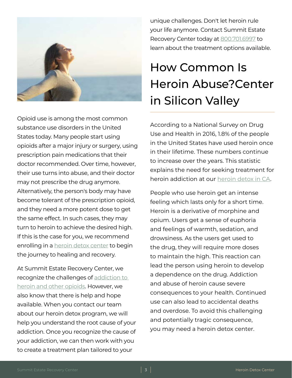<span id="page-2-1"></span>

<span id="page-2-0"></span>Opioid use is among the most common substance use disorders in the United States today. Many people start using opioids after a major injury or surgery, using prescription pain medications that their doctor recommended. Over time, however, their use turns into abuse, and their doctor may not prescribe the drug anymore. Alternatively, the person's body may have become tolerant of the prescription opioid, and they need a more potent dose to get the same effect. In such cases, they may turn to heroin to achieve the desired high. If this is the case for you, we recommend enrolling in a **heroin detox** center to begin the journey to healing and recovery.

At Summit Estate Recovery Center, we recognize the challenges of [addiction to](https://www.summitestate.com/rehab-blog/why-is-heroin-addiction-so-hard-to-treat/)  [heroin and other opioids](https://www.summitestate.com/rehab-blog/why-is-heroin-addiction-so-hard-to-treat/). However, we also know that there is help and hope available. When you contact our team about our heroin detox program, we will help you understand the root cause of your addiction. Once you recognize the cause of your addiction, we can then work with you to create a treatment plan tailored to your

unique challenges. Don't let heroin rule your life anymore. Contact Summit Estate Recovery Center today at [800.701.6997](tel:8007016997) to learn about the treatment options available.

## How Common Is Heroin Abuse?Center in Silicon Valley

According to a National Survey on Drug Use and Health in 2016, 1.8% of the people in the United States have used heroin once in their lifetime. These numbers continue to increase over the years. This statistic explains the need for seeking treatment for heroin addiction at our [heroin detox in CA.](https://www.summitestate.com/rehab-blog/growing-addiction-heroin-silicon-valley/)

People who use heroin get an intense feeling which lasts only for a short time. Heroin is a derivative of morphine and opium. Users get a sense of euphoria and feelings of warmth, sedation, and drowsiness. As the users get used to the drug, they will require more doses to maintain the high. This reaction can lead the person using heroin to develop a dependence on the drug. Addiction and abuse of heroin cause severe consequences to your health. Continued use can also lead to accidental deaths and overdose. To avoid this challenging and potentially tragic consequence, you may need a heroin detox center.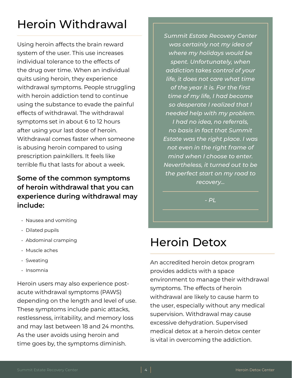### <span id="page-3-1"></span><span id="page-3-0"></span>Heroin Withdrawal

Using heroin affects the brain reward system of the user. This use increases individual tolerance to the effects of the drug over time. When an individual quits using heroin, they experience withdrawal symptoms. People struggling with heroin addiction tend to continue using the substance to evade the painful effects of withdrawal. The withdrawal symptoms set in about 6 to 12 hours after using your last dose of heroin. Withdrawal comes faster when someone is abusing heroin compared to using prescription painkillers. It feels like terrible flu that lasts for about a week.

#### **Some of the common symptoms of heroin withdrawal that you can experience during withdrawal may include:**

- Nausea and vomiting
- Dilated pupils
- Abdominal cramping
- Muscle aches
- Sweating
- Insomnia

Heroin users may also experience postacute withdrawal symptoms (PAWS) depending on the length and level of use. These symptoms include panic attacks, restlessness, irritability, and memory loss and may last between 18 and 24 months. As the user avoids using heroin and time goes by, the symptoms diminish.

*Summit Estate Recovery Center was certainly not my idea of where my holidays would be spent. Unfortunately, when addiction takes control of your life, it does not care what time of the year it is. For the first time of my life, I had become so desperate I realized that I needed help with my problem. I had no idea, no referrals, no basis in fact that Summit Estate was the right place. I was not even in the right frame of mind when I choose to enter. Nevertheless, it turned out to be the perfect start on my road to recovery...*

*- PL*

### Heroin Detox

An accredited heroin detox program provides addicts with a space environment to manage their withdrawal symptoms. The effects of heroin withdrawal are likely to cause harm to the user, especially without any medical supervision. Withdrawal may cause excessive dehydration. Supervised medical detox at a heroin detox center is vital in overcoming the addiction.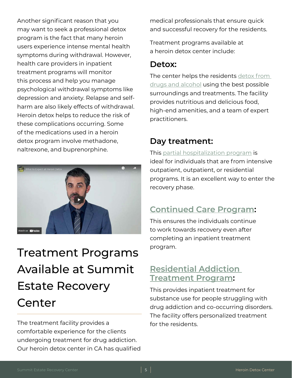<span id="page-4-1"></span><span id="page-4-0"></span>Another significant reason that you may want to seek a professional detox program is the fact that many heroin users experience intense mental health symptoms during withdrawal. However, health care providers in inpatient treatment programs will monitor this process and help you manage psychological withdrawal symptoms like depression and anxiety. Relapse and selfharm are also likely effects of withdrawal. Heroin detox helps to reduce the risk of these complications occurring. Some of the medications used in a heroin detox program involve methadone, naltrexone, and buprenorphine.



### Treatment Programs Available at Summit Estate Recovery Center

The treatment facility provides a comfortable experience for the clients undergoing treatment for drug addiction. Our heroin detox center in CA has qualified medical professionals that ensure quick and successful recovery for the residents.

Treatment programs available at a heroin detox center include:

#### **Detox:**

The center helps the residents detox from [drugs and alcohol](https://www.summitestate.com/northern-california-drug-and-alcohol-detox-programs/drug-detox-center-ca/) using the best possible surroundings and treatments. The facility provides nutritious and delicious food, high-end amenities, and a team of expert practitioners.

### **Day treatment:**

This [partial hospitalization program](https://www.summitestate.com/northern-california-drug-and-alcohol-rehab-programs/partial-hospitalization-program-ca/) is ideal for individuals that are from intensive outpatient, outpatient, or residential programs. It is an excellent way to enter the recovery phase.

### **[Continued Care Program](https://www.summitestate.com/northern-california-drug-and-alcohol-rehab-programs/rehab-continued-care-ca/):**

This ensures the individuals continue to work towards recovery even after completing an inpatient treatment program.

### **[Residential Addiction](https://www.summitestate.com/northern-california-drug-and-alcohol-rehab-programs/residential-treatment-program-ca/)  [Treatment Program](https://www.summitestate.com/northern-california-drug-and-alcohol-rehab-programs/residential-treatment-program-ca/):**

This provides inpatient treatment for substance use for people struggling with drug addiction and co-occurring disorders. The facility offers personalized treatment for the residents.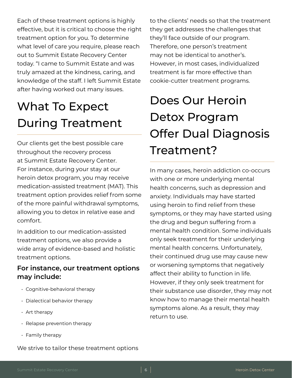<span id="page-5-0"></span>Each of these treatment options is highly effective, but it is critical to choose the right treatment option for you. To determine what level of care you require, please reach out to Summit Estate Recovery Center today. "I came to Summit Estate and was truly amazed at the kindness, caring, and knowledge of the staff. I left Summit Estate after having worked out many issues.

# What To Expect During Treatment

Our clients get the best possible care throughout the recovery process at Summit Estate Recovery Center. For instance, during your stay at our heroin detox program, you may receive medication-assisted treatment (MAT). This treatment option provides relief from some of the more painful withdrawal symptoms, allowing you to detox in relative ease and comfort.

In addition to our medication-assisted treatment options, we also provide a wide array of evidence-based and holistic treatment options.

#### **For instance, our treatment options may include:**

- Cognitive-behavioral therapy
- Dialectical behavior therapy
- Art therapy
- Relapse prevention therapy
- Family therapy

We strive to tailor these treatment options

to the clients' needs so that the treatment they get addresses the challenges that they'll face outside of our program. Therefore, one person's treatment may not be identical to another's. However, in most cases, individualized treatment is far more effective than cookie-cutter treatment programs.

# Does Our Heroin Detox Program Offer Dual Diagnosis Treatment?

In many cases, heroin addiction co-occurs with one or more underlying mental health concerns, such as depression and anxiety. Individuals may have started using heroin to find relief from these symptoms, or they may have started using the drug and begun suffering from a mental health condition. Some individuals only seek treatment for their underlying mental health concerns. Unfortunately, their continued drug use may cause new or worsening symptoms that negatively affect their ability to function in life. However, if they only seek treatment for their substance use disorder, they may not know how to manage their mental health symptoms alone. As a result, they may return to use.